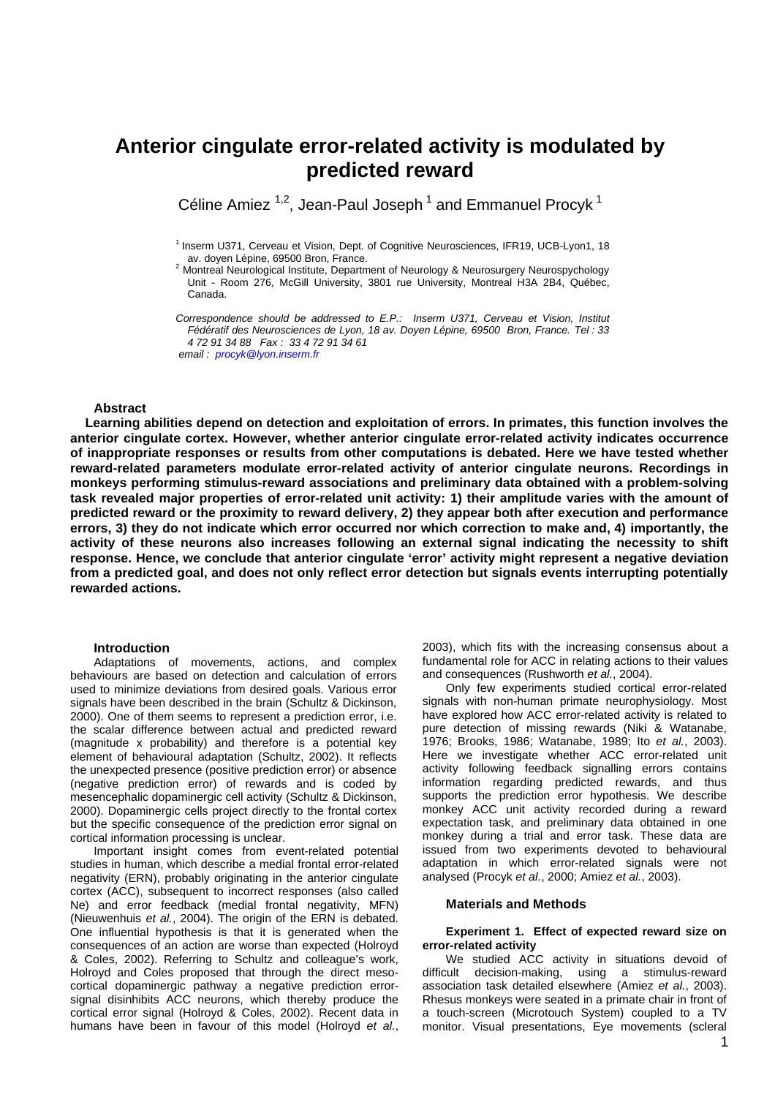# **Anterior cingulate error-related activity is modulated by predicted reward**

Céline Amiez  $1,2$ , Jean-Paul Joseph<sup>1</sup> and Emmanuel Procyk<sup>1</sup>

 $<sup>1</sup>$  Inserm U371, Cerveau et Vision, Dept. of Cognitive Neurosciences, IFR19, UCB-Lyon1, 18</sup> av. doyen Lépine, 69500 Bron, France.

<sup>2</sup> Montreal Neurological Institute, Department of Neurology & Neurosurgery Neurospychology Unit - Room 276, McGill University, 3801 rue University, Montreal H3A 2B4, Québec, Canada.

*Correspondence should be addressed to E.P.: Inserm U371, Cerveau et Vision, Institut Fédératif des Neurosciences de Lyon, 18 av. Doyen Lépine, 69500 Bron, France. Tel : 33 4 72 91 34 88 Fax : 33 4 72 91 34 61 email : procyk@lyon.inserm.fr*

# **Abstract**

**Learning abilities depend on detection and exploitation of errors. In primates, this function involves the anterior cingulate cortex. However, whether anterior cingulate error-related activity indicates occurrence of inappropriate responses or results from other computations is debated. Here we have tested whether reward-related parameters modulate error-related activity of anterior cingulate neurons. Recordings in monkeys performing stimulus-reward associations and preliminary data obtained with a problem-solving task revealed major properties of error-related unit activity: 1) their amplitude varies with the amount of predicted reward or the proximity to reward delivery, 2) they appear both after execution and performance errors, 3) they do not indicate which error occurred nor which correction to make and, 4) importantly, the activity of these neurons also increases following an external signal indicating the necessity to shift response. Hence, we conclude that anterior cingulate 'error' activity might represent a negative deviation from a predicted goal, and does not only reflect error detection but signals events interrupting potentially rewarded actions.**

# **Introduction**

Adaptations of movements, actions, and complex behaviours are based on detection and calculation of errors used to minimize deviations from desired goals. Various error signals have been described in the brain (Schultz & Dickinson, 2000). One of them seems to represent a prediction error, i.e. the scalar difference between actual and predicted reward (magnitude x probability) and therefore is a potential key element of behavioural adaptation (Schultz, 2002). It reflects the unexpected presence (positive prediction error) or absence (negative prediction error) of rewards and is coded by mesencephalic dopaminergic cell activity (Schultz & Dickinson, 2000). Dopaminergic cells project directly to the frontal cortex but the specific consequence of the prediction error signal on cortical information processing is unclear.

Important insight comes from event-related potential studies in human, which describe a medial frontal error-related negativity (ERN), probably originating in the anterior cingulate cortex (ACC), subsequent to incorrect responses (also called Ne) and error feedback (medial frontal negativity, MFN) (Nieuwenhuis *et al.*, 2004). The origin of the ERN is debated. One influential hypothesis is that it is generated when the consequences of an action are worse than expected (Holroyd & Coles, 2002). Referring to Schultz and colleague's work, Holroyd and Coles proposed that through the direct mesocortical dopaminergic pathway a negative prediction errorsignal disinhibits ACC neurons, which thereby produce the cortical error signal (Holroyd & Coles, 2002). Recent data in humans have been in favour of this model (Holroyd *et al.*,

2003), which fits with the increasing consensus about a fundamental role for ACC in relating actions to their values and consequences (Rushworth *et al.*, 2004).

Only few experiments studied cortical error-related signals with non-human primate neurophysiology. Most have explored how ACC error-related activity is related to pure detection of missing rewards (Niki & Watanabe, 1976; Brooks, 1986; Watanabe, 1989; Ito *et al.*, 2003). Here we investigate whether ACC error-related unit activity following feedback signalling errors contains information regarding predicted rewards, and thus supports the prediction error hypothesis. We describe monkey ACC unit activity recorded during a reward expectation task, and preliminary data obtained in one monkey during a trial and error task. These data are issued from two experiments devoted to behavioural adaptation in which error-related signals were not analysed (Procyk *et al.*, 2000; Amiez *et al.*, 2003).

# **Materials and Methods**

# **Experiment 1. Effect of expected reward size on error-related activity**

We studied ACC activity in situations devoid of difficult decision-making, using a stimulus-reward association task detailed elsewhere (Amiez *et al.*, 2003). Rhesus monkeys were seated in a primate chair in front of a touch-screen (Microtouch System) coupled to a TV monitor. Visual presentations, Eye movements (scleral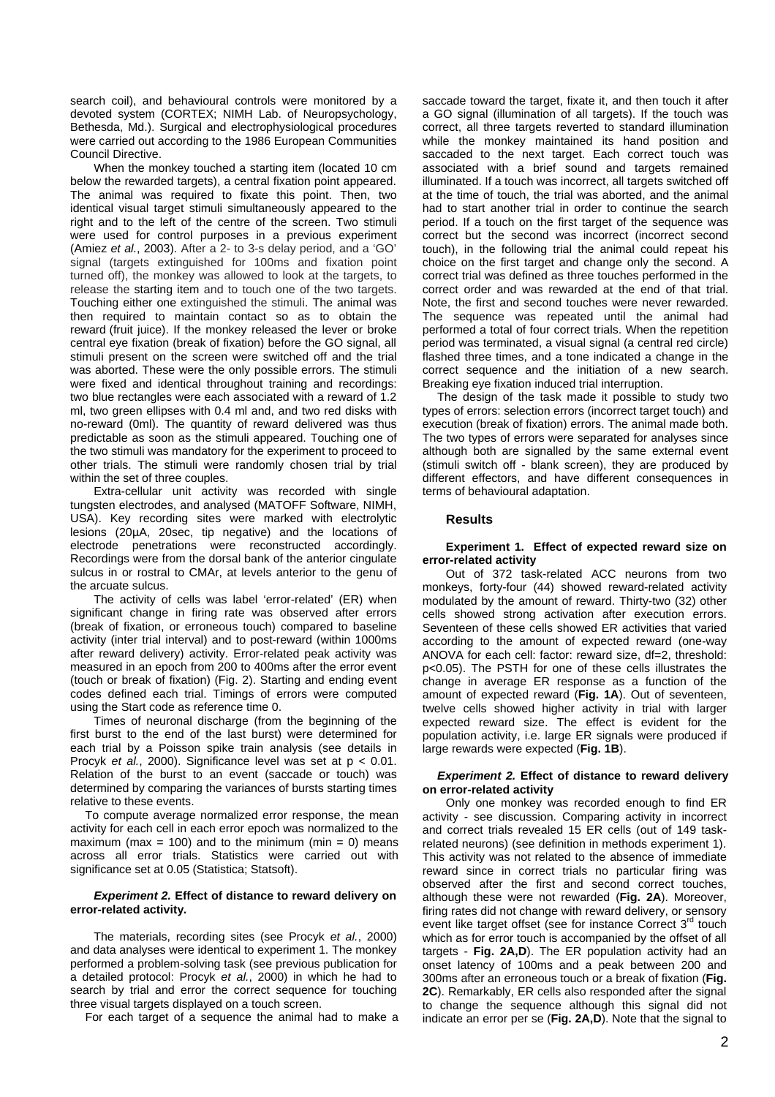search coil), and behavioural controls were monitored by a devoted system (CORTEX; NIMH Lab. of Neuropsychology, Bethesda, Md.). Surgical and electrophysiological procedures were carried out according to the 1986 European Communities Council Directive.

When the monkey touched a starting item (located 10 cm below the rewarded targets), a central fixation point appeared. The animal was required to fixate this point. Then, two identical visual target stimuli simultaneously appeared to the right and to the left of the centre of the screen. Two stimuli were used for control purposes in a previous experiment (Amiez *et al.*, 2003). After a 2- to 3-s delay period, and a 'GO' signal (targets extinguished for 100ms and fixation point turned off), the monkey was allowed to look at the targets, to release the starting item and to touch one of the two targets. Touching either one extinguished the stimuli. The animal was then required to maintain contact so as to obtain the reward (fruit juice). If the monkey released the lever or broke central eye fixation (break of fixation) before the GO signal, all stimuli present on the screen were switched off and the trial was aborted. These were the only possible errors. The stimuli were fixed and identical throughout training and recordings: two blue rectangles were each associated with a reward of 1.2 ml, two green ellipses with 0.4 ml and, and two red disks with no-reward (0ml). The quantity of reward delivered was thus predictable as soon as the stimuli appeared. Touching one of the two stimuli was mandatory for the experiment to proceed to other trials. The stimuli were randomly chosen trial by trial within the set of three couples.

Extra-cellular unit activity was recorded with single tungsten electrodes, and analysed (MATOFF Software, NIMH, USA). Key recording sites were marked with electrolytic lesions (20µA, 20sec, tip negative) and the locations of electrode penetrations were reconstructed accordingly. Recordings were from the dorsal bank of the anterior cingulate sulcus in or rostral to CMAr, at levels anterior to the genu of the arcuate sulcus.

The activity of cells was label 'error-related' (ER) when significant change in firing rate was observed after errors (break of fixation, or erroneous touch) compared to baseline activity (inter trial interval) and to post-reward (within 1000ms after reward delivery) activity. Error-related peak activity was measured in an epoch from 200 to 400ms after the error event (touch or break of fixation) (Fig. 2). Starting and ending event codes defined each trial. Timings of errors were computed using the Start code as reference time 0.

Times of neuronal discharge (from the beginning of the first burst to the end of the last burst) were determined for each trial by a Poisson spike train analysis (see details in Procyk *et al.*, 2000). Significance level was set at p < 0.01. Relation of the burst to an event (saccade or touch) was determined by comparing the variances of bursts starting times relative to these events.

To compute average normalized error response, the mean activity for each cell in each error epoch was normalized to the maximum (max = 100) and to the minimum (min = 0) means across all error trials. Statistics were carried out with significance set at 0.05 (Statistica; Statsoft).

# *Experiment 2.* **Effect of distance to reward delivery on error-related activity.**

The materials, recording sites (see Procyk *et al.*, 2000) and data analyses were identical to experiment 1. The monkey performed a problem-solving task (see previous publication for a detailed protocol: Procyk *et al.*, 2000) in which he had to search by trial and error the correct sequence for touching three visual targets displayed on a touch screen.

For each target of a sequence the animal had to make a

saccade toward the target, fixate it, and then touch it after a GO signal (illumination of all targets). If the touch was correct, all three targets reverted to standard illumination while the monkey maintained its hand position and saccaded to the next target. Each correct touch was associated with a brief sound and targets remained illuminated. If a touch was incorrect, all targets switched off at the time of touch, the trial was aborted, and the animal had to start another trial in order to continue the search period. If a touch on the first target of the sequence was correct but the second was incorrect (incorrect second touch), in the following trial the animal could repeat his choice on the first target and change only the second. A correct trial was defined as three touches performed in the correct order and was rewarded at the end of that trial. Note, the first and second touches were never rewarded. The sequence was repeated until the animal had performed a total of four correct trials. When the repetition period was terminated, a visual signal (a central red circle) flashed three times, and a tone indicated a change in the correct sequence and the initiation of a new search. Breaking eye fixation induced trial interruption.

The design of the task made it possible to study two types of errors: selection errors (incorrect target touch) and execution (break of fixation) errors. The animal made both. The two types of errors were separated for analyses since although both are signalled by the same external event (stimuli switch off - blank screen), they are produced by different effectors, and have different consequences in terms of behavioural adaptation.

#### **Results**

#### **Experiment 1. Effect of expected reward size on error-related activity**

Out of 372 task-related ACC neurons from two monkeys, forty-four (44) showed reward-related activity modulated by the amount of reward. Thirty-two (32) other cells showed strong activation after execution errors. Seventeen of these cells showed ER activities that varied according to the amount of expected reward (one-way ANOVA for each cell: factor: reward size, df=2, threshold: p<0.05). The PSTH for one of these cells illustrates the change in average ER response as a function of the amount of expected reward (**Fig. 1A**). Out of seventeen, twelve cells showed higher activity in trial with larger expected reward size. The effect is evident for the population activity, i.e. large ER signals were produced if large rewards were expected (**Fig. 1B**).

# *Experiment 2.* **Effect of distance to reward delivery on error-related activity**

Only one monkey was recorded enough to find ER activity - see discussion. Comparing activity in incorrect and correct trials revealed 15 ER cells (out of 149 taskrelated neurons) (see definition in methods experiment 1). This activity was not related to the absence of immediate reward since in correct trials no particular firing was observed after the first and second correct touches, although these were not rewarded (**Fig. 2A**). Moreover, firing rates did not change with reward delivery, or sensory event like target offset (see for instance Correct 3<sup>rd</sup> touch which as for error touch is accompanied by the offset of all targets - **Fig. 2A,D**). The ER population activity had an onset latency of 100ms and a peak between 200 and 300ms after an erroneous touch or a break of fixation (**Fig. 2C**). Remarkably, ER cells also responded after the signal to change the sequence although this signal did not indicate an error per se (**Fig. 2A,D**). Note that the signal to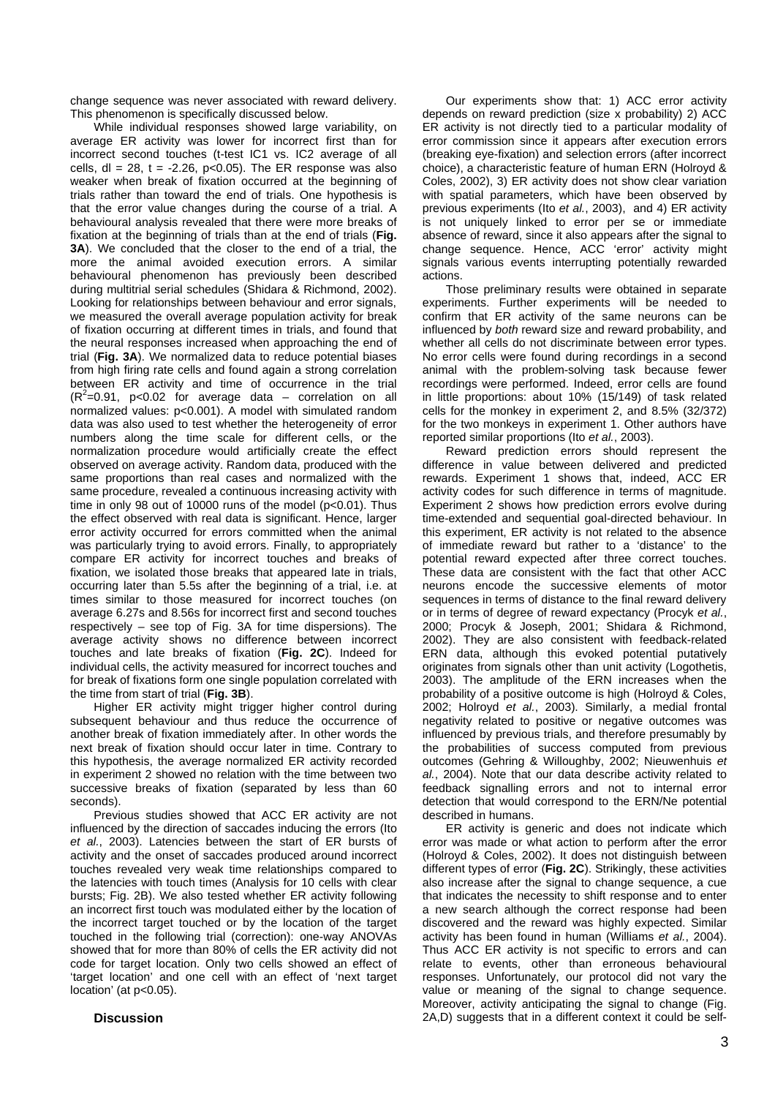change sequence was never associated with reward delivery. This phenomenon is specifically discussed below.

While individual responses showed large variability, on average ER activity was lower for incorrect first than for incorrect second touches (t-test IC1 vs. IC2 average of all cells,  $dl = 28$ ,  $t = -2.26$ ,  $p < 0.05$ ). The ER response was also weaker when break of fixation occurred at the beginning of trials rather than toward the end of trials. One hypothesis is that the error value changes during the course of a trial. A behavioural analysis revealed that there were more breaks of fixation at the beginning of trials than at the end of trials (**Fig. 3A**). We concluded that the closer to the end of a trial, the more the animal avoided execution errors. A similar behavioural phenomenon has previously been described during multitrial serial schedules (Shidara & Richmond, 2002). Looking for relationships between behaviour and error signals, we measured the overall average population activity for break of fixation occurring at different times in trials, and found that the neural responses increased when approaching the end of trial (**Fig. 3A**). We normalized data to reduce potential biases from high firing rate cells and found again a strong correlation between ER activity and time of occurrence in the trial  $(R^2=0.91, p<0.02$  for average data – correlation on all normalized values: p<0.001). A model with simulated random data was also used to test whether the heterogeneity of error numbers along the time scale for different cells, or the normalization procedure would artificially create the effect observed on average activity. Random data, produced with the same proportions than real cases and normalized with the same procedure, revealed a continuous increasing activity with time in only 98 out of 10000 runs of the model (p<0.01). Thus the effect observed with real data is significant. Hence, larger error activity occurred for errors committed when the animal was particularly trying to avoid errors. Finally, to appropriately compare ER activity for incorrect touches and breaks of fixation, we isolated those breaks that appeared late in trials, occurring later than 5.5s after the beginning of a trial, i.e. at times similar to those measured for incorrect touches (on average 6.27s and 8.56s for incorrect first and second touches respectively – see top of Fig. 3A for time dispersions). The average activity shows no difference between incorrect touches and late breaks of fixation (**Fig. 2C**). Indeed for individual cells, the activity measured for incorrect touches and for break of fixations form one single population correlated with the time from start of trial (**Fig. 3B**).

Higher ER activity might trigger higher control during subsequent behaviour and thus reduce the occurrence of another break of fixation immediately after. In other words the next break of fixation should occur later in time. Contrary to this hypothesis, the average normalized ER activity recorded in experiment 2 showed no relation with the time between two successive breaks of fixation (separated by less than 60 seconds).

Previous studies showed that ACC ER activity are not influenced by the direction of saccades inducing the errors (Ito *et al.*, 2003). Latencies between the start of ER bursts of activity and the onset of saccades produced around incorrect touches revealed very weak time relationships compared to the latencies with touch times (Analysis for 10 cells with clear bursts; Fig. 2B). We also tested whether ER activity following an incorrect first touch was modulated either by the location of the incorrect target touched or by the location of the target touched in the following trial (correction): one-way ANOVAs showed that for more than 80% of cells the ER activity did not code for target location. Only two cells showed an effect of 'target location' and one cell with an effect of 'next target location' (at p<0.05).

# **Discussion**

Our experiments show that: 1) ACC error activity depends on reward prediction (size x probability) 2) ACC ER activity is not directly tied to a particular modality of error commission since it appears after execution errors (breaking eye-fixation) and selection errors (after incorrect choice), a characteristic feature of human ERN (Holroyd & Coles, 2002), 3) ER activity does not show clear variation with spatial parameters, which have been observed by previous experiments (Ito *et al.*, 2003), and 4) ER activity is not uniquely linked to error per se or immediate absence of reward, since it also appears after the signal to change sequence. Hence, ACC 'error' activity might signals various events interrupting potentially rewarded actions.

Those preliminary results were obtained in separate experiments. Further experiments will be needed to confirm that ER activity of the same neurons can be influenced by *both* reward size and reward probability, and whether all cells do not discriminate between error types. No error cells were found during recordings in a second animal with the problem-solving task because fewer recordings were performed. Indeed, error cells are found in little proportions: about 10% (15/149) of task related cells for the monkey in experiment 2, and 8.5% (32/372) for the two monkeys in experiment 1. Other authors have reported similar proportions (Ito *et al.*, 2003).

Reward prediction errors should represent the difference in value between delivered and predicted rewards. Experiment 1 shows that, indeed, ACC ER activity codes for such difference in terms of magnitude. Experiment 2 shows how prediction errors evolve during time-extended and sequential goal-directed behaviour. In this experiment, ER activity is not related to the absence of immediate reward but rather to a 'distance' to the potential reward expected after three correct touches. These data are consistent with the fact that other ACC neurons encode the successive elements of motor sequences in terms of distance to the final reward delivery or in terms of degree of reward expectancy (Procyk *et al.*, 2000; Procyk & Joseph, 2001; Shidara & Richmond, 2002). They are also consistent with feedback-related ERN data, although this evoked potential putatively originates from signals other than unit activity (Logothetis, 2003). The amplitude of the ERN increases when the probability of a positive outcome is high (Holroyd & Coles, 2002; Holroyd *et al.*, 2003). Similarly, a medial frontal negativity related to positive or negative outcomes was influenced by previous trials, and therefore presumably by the probabilities of success computed from previous outcomes (Gehring & Willoughby, 2002; Nieuwenhuis *et al.*, 2004). Note that our data describe activity related to feedback signalling errors and not to internal error detection that would correspond to the ERN/Ne potential described in humans.

ER activity is generic and does not indicate which error was made or what action to perform after the error (Holroyd & Coles, 2002). It does not distinguish between different types of error (**Fig. 2C**). Strikingly, these activities also increase after the signal to change sequence, a cue that indicates the necessity to shift response and to enter a new search although the correct response had been discovered and the reward was highly expected. Similar activity has been found in human (Williams *et al.*, 2004). Thus ACC ER activity is not specific to errors and can relate to events, other than erroneous behavioural responses. Unfortunately, our protocol did not vary the value or meaning of the signal to change sequence. Moreover, activity anticipating the signal to change (Fig. 2A,D) suggests that in a different context it could be self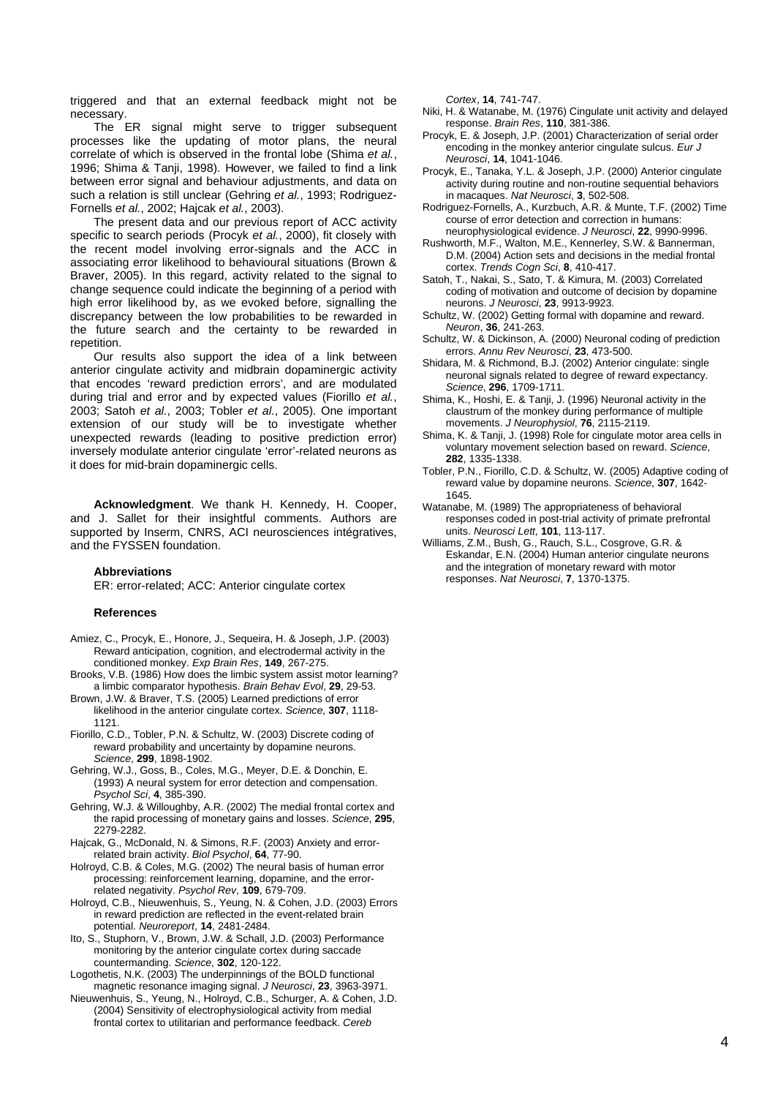triggered and that an external feedback might not be necessary.

The ER signal might serve to trigger subsequent processes like the updating of motor plans, the neural correlate of which is observed in the frontal lobe (Shima *et al.*, 1996; Shima & Tanji, 1998). However, we failed to find a link between error signal and behaviour adjustments, and data on such a relation is still unclear (Gehring *et al.*, 1993; Rodriguez-Fornells *et al.*, 2002; Hajcak *et al.*, 2003).

The present data and our previous report of ACC activity specific to search periods (Procyk *et al.*, 2000), fit closely with the recent model involving error-signals and the ACC in associating error likelihood to behavioural situations (Brown & Braver, 2005). In this regard, activity related to the signal to change sequence could indicate the beginning of a period with high error likelihood by, as we evoked before, signalling the discrepancy between the low probabilities to be rewarded in the future search and the certainty to be rewarded in repetition.

Our results also support the idea of a link between anterior cingulate activity and midbrain dopaminergic activity that encodes 'reward prediction errors', and are modulated during trial and error and by expected values (Fiorillo *et al.*, 2003; Satoh *et al.*, 2003; Tobler *et al.*, 2005). One important extension of our study will be to investigate whether unexpected rewards (leading to positive prediction error) inversely modulate anterior cingulate 'error'-related neurons as it does for mid-brain dopaminergic cells.

**Acknowledgment**. We thank H. Kennedy, H. Cooper, and J. Sallet for their insightful comments. Authors are supported by Inserm, CNRS, ACI neurosciences intégratives, and the FYSSEN foundation.

#### **Abbreviations**

ER: error-related; ACC: Anterior cingulate cortex

#### **References**

- Amiez, C., Procyk, E., Honore, J., Sequeira, H. & Joseph, J.P. (2003) Reward anticipation, cognition, and electrodermal activity in the conditioned monkey. *Exp Brain Res*, **149**, 267-275.
- Brooks, V.B. (1986) How does the limbic system assist motor learning? a limbic comparator hypothesis. *Brain Behav Evol*, **29**, 29-53.
- Brown, J.W. & Braver, T.S. (2005) Learned predictions of error likelihood in the anterior cingulate cortex. *Science*, **307**, 1118- 1121.
- Fiorillo, C.D., Tobler, P.N. & Schultz, W. (2003) Discrete coding of reward probability and uncertainty by dopamine neurons. *Science*, **299**, 1898-1902.
- Gehring, W.J., Goss, B., Coles, M.G., Meyer, D.E. & Donchin, E. (1993) A neural system for error detection and compensation. *Psychol Sci*, **4**, 385-390.
- Gehring, W.J. & Willoughby, A.R. (2002) The medial frontal cortex and the rapid processing of monetary gains and losses. *Science*, **295**, 2279-2282.
- Hajcak, G., McDonald, N. & Simons, R.F. (2003) Anxiety and errorrelated brain activity. *Biol Psychol*, **64**, 77-90.
- Holroyd, C.B. & Coles, M.G. (2002) The neural basis of human error processing: reinforcement learning, dopamine, and the errorrelated negativity. *Psychol Rev*, **109**, 679-709.
- Holroyd, C.B., Nieuwenhuis, S., Yeung, N. & Cohen, J.D. (2003) Errors in reward prediction are reflected in the event-related brain potential. *Neuroreport*, **14**, 2481-2484.
- Ito, S., Stuphorn, V., Brown, J.W. & Schall, J.D. (2003) Performance monitoring by the anterior cingulate cortex during saccade countermanding. *Science*, **302**, 120-122.
- Logothetis, N.K. (2003) The underpinnings of the BOLD functional magnetic resonance imaging signal. *J Neurosci*, **23**, 3963-3971.
- Nieuwenhuis, S., Yeung, N., Holroyd, C.B., Schurger, A. & Cohen, J.D. (2004) Sensitivity of electrophysiological activity from medial frontal cortex to utilitarian and performance feedback. *Cereb*

*Cortex*, **14**, 741-747.

- Niki, H. & Watanabe, M. (1976) Cingulate unit activity and delayed response. *Brain Res*, **110**, 381-386.
- Procyk, E. & Joseph, J.P. (2001) Characterization of serial order encoding in the monkey anterior cingulate sulcus. *Eur J Neurosci*, **14**, 1041-1046.
- Procyk, E., Tanaka, Y.L. & Joseph, J.P. (2000) Anterior cingulate activity during routine and non-routine sequential behaviors in macaques. *Nat Neurosci*, **3**, 502-508.
- Rodriguez-Fornells, A., Kurzbuch, A.R. & Munte, T.F. (2002) Time course of error detection and correction in humans: neurophysiological evidence. *J Neurosci*, **22**, 9990-9996.
- Rushworth, M.F., Walton, M.E., Kennerley, S.W. & Bannerman, D.M. (2004) Action sets and decisions in the medial frontal cortex. *Trends Cogn Sci*, **8**, 410-417.
- Satoh, T., Nakai, S., Sato, T. & Kimura, M. (2003) Correlated coding of motivation and outcome of decision by dopamine neurons. *J Neurosci*, **23**, 9913-9923.
- Schultz, W. (2002) Getting formal with dopamine and reward. *Neuron*, **36**, 241-263.
- Schultz, W. & Dickinson, A. (2000) Neuronal coding of prediction errors. *Annu Rev Neurosci*, **23**, 473-500.
- Shidara, M. & Richmond, B.J. (2002) Anterior cingulate: single neuronal signals related to degree of reward expectancy. *Science*, **296**, 1709-1711.
- Shima, K., Hoshi, E. & Tanji, J. (1996) Neuronal activity in the claustrum of the monkey during performance of multiple movements. *J Neurophysiol*, **76**, 2115-2119.
- Shima, K. & Tanji, J. (1998) Role for cingulate motor area cells in voluntary movement selection based on reward. *Science*, **282**, 1335-1338.
- Tobler, P.N., Fiorillo, C.D. & Schultz, W. (2005) Adaptive coding of reward value by dopamine neurons. *Science*, **307**, 1642- 1645.
- Watanabe, M. (1989) The appropriateness of behavioral responses coded in post-trial activity of primate prefrontal units. *Neurosci Lett*, **101**, 113-117.
- Williams, Z.M., Bush, G., Rauch, S.L., Cosgrove, G.R. & Eskandar, E.N. (2004) Human anterior cingulate neurons and the integration of monetary reward with motor responses. *Nat Neurosci*, **7**, 1370-1375.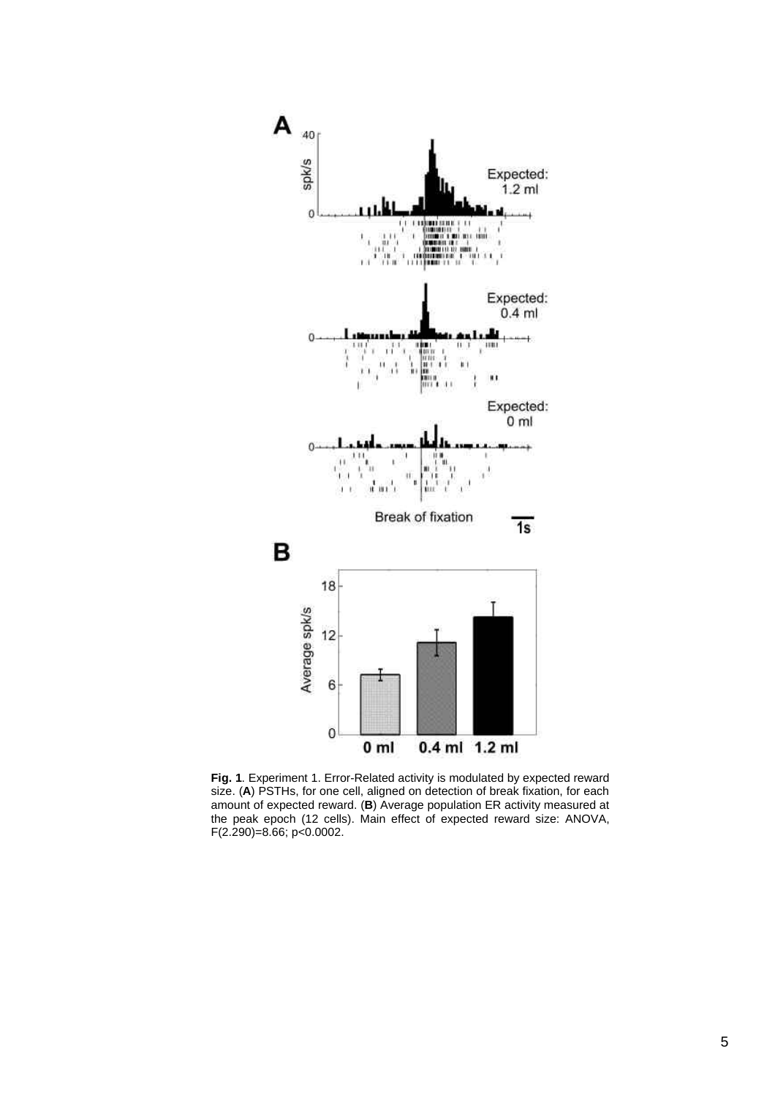

**Fig. 1**. Experiment 1. Error-Related activity is modulated by expected reward size. (**A**) PSTHs, for one cell, aligned on detection of break fixation, for each amount of expected reward. (**B**) Average population ER activity measured at the peak epoch (12 cells). Main effect of expected reward size: ANOVA, F(2.290)=8.66; p<0.0002.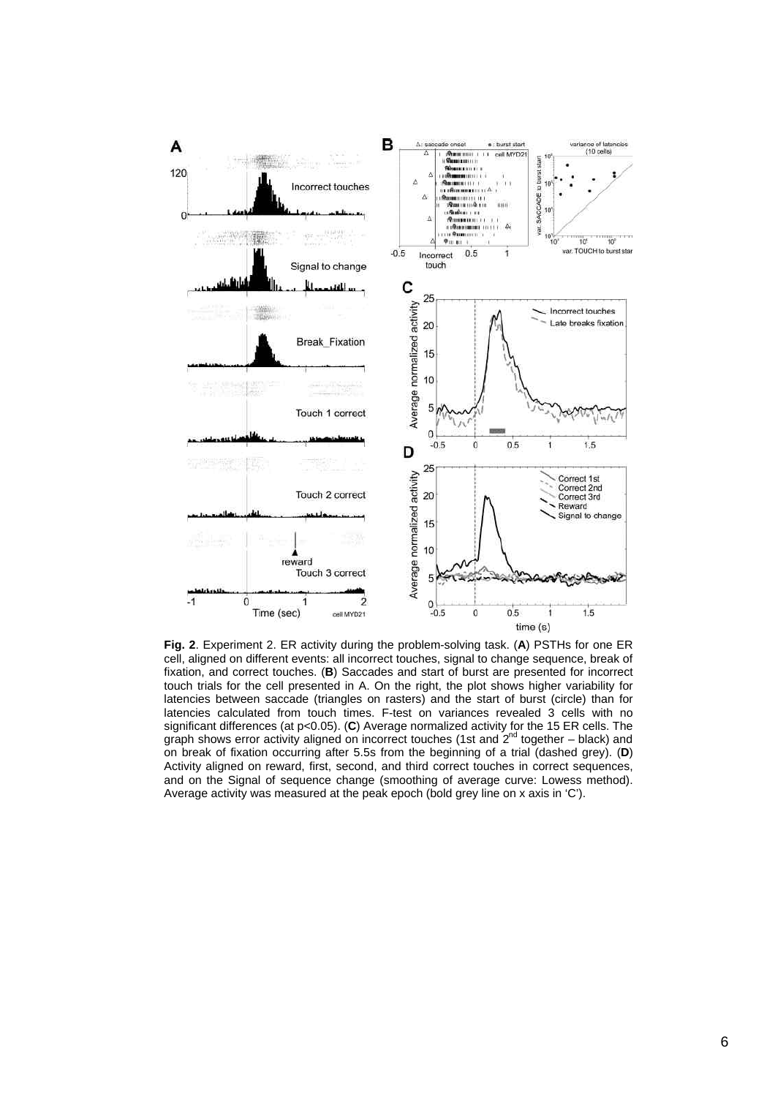

**Fig. 2**. Experiment 2. ER activity during the problem-solving task. (**A**) PSTHs for one ER cell, aligned on different events: all incorrect touches, signal to change sequence, break of fixation, and correct touches. (**B**) Saccades and start of burst are presented for incorrect touch trials for the cell presented in A. On the right, the plot shows higher variability for latencies between saccade (triangles on rasters) and the start of burst (circle) than for latencies calculated from touch times. F-test on variances revealed 3 cells with no significant differences (at p<0.05). (**C**) Average normalized activity for the 15 ER cells. The graph shows error activity aligned on incorrect touches (1st and  $2^{nd}$  together – black) and on break of fixation occurring after 5.5s from the beginning of a trial (dashed grey). (**D**) Activity aligned on reward, first, second, and third correct touches in correct sequences, and on the Signal of sequence change (smoothing of average curve: Lowess method). Average activity was measured at the peak epoch (bold grey line on x axis in 'C').